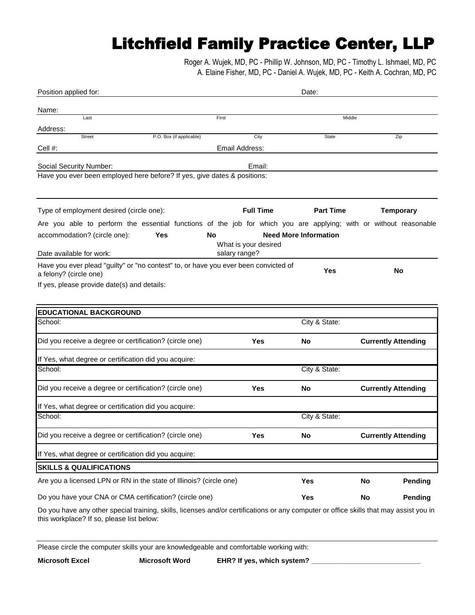## Litchfield Family Practice Center, LLP

 A. Elaine Fisher, MD, PC - Daniel A. Wujek, MD, PC - Keith A. Cochran, MD, PC Roger A. Wujek, MD, PC - Phillip W. Johnson, MD, PC - Timothy L. Ishmael, MD, PC

| Position applied for:                                                                                             | Date:                |                  |                              |                            |         |
|-------------------------------------------------------------------------------------------------------------------|----------------------|------------------|------------------------------|----------------------------|---------|
| Name:                                                                                                             |                      |                  |                              |                            |         |
| Last                                                                                                              | First                |                  | Middle                       |                            |         |
| Address:<br><b>Street</b>                                                                                         |                      | City             | State                        |                            |         |
| P.O. Box (if applicable)<br>Cell #:                                                                               | Email Address:       |                  |                              | Zip                        |         |
|                                                                                                                   |                      |                  |                              |                            |         |
| Social Security Number:                                                                                           |                      | Email:           |                              |                            |         |
| Have you ever been employed here before? If yes, give dates & positions:                                          |                      |                  |                              |                            |         |
|                                                                                                                   |                      |                  |                              |                            |         |
| Type of employment desired (circle one):                                                                          |                      | <b>Full Time</b> | <b>Part Time</b>             | <b>Temporary</b>           |         |
| Are you able to perform the essential functions of the job for which you are applying; with or without reasonable |                      |                  |                              |                            |         |
| accommodation? (circle one):<br>Yes                                                                               | No                   |                  | <b>Need More Information</b> |                            |         |
|                                                                                                                   | What is your desired |                  |                              |                            |         |
| Date available for work:                                                                                          | salary range?        |                  |                              |                            |         |
| Have you ever plead "guilty" or "no contest" to, or have you ever been convicted of                               |                      |                  | Yes                          | No                         |         |
| a felony? (circle one)                                                                                            |                      |                  |                              |                            |         |
| If yes, please provide date(s) and details:                                                                       |                      |                  |                              |                            |         |
|                                                                                                                   |                      |                  |                              |                            |         |
| <b>EDUCATIONAL BACKGROUND</b>                                                                                     |                      |                  |                              |                            |         |
| School:                                                                                                           |                      |                  | City & State:                |                            |         |
| Did you receive a degree or certification? (circle one)                                                           |                      | Yes              | No.                          | <b>Currently Attending</b> |         |
| If Yes, what degree or certification did you acquire:                                                             |                      |                  |                              |                            |         |
| School:                                                                                                           |                      |                  | City & State:                |                            |         |
| Did you receive a degree or certification? (circle one)                                                           |                      | Yes              | No                           | <b>Currently Attending</b> |         |
|                                                                                                                   |                      |                  |                              |                            |         |
| If Yes, what degree or certification did you acquire:                                                             |                      |                  |                              |                            |         |
| School:                                                                                                           |                      |                  | City & State:                |                            |         |
| Did you receive a degree or certification? (circle one)                                                           |                      | Yes              | No                           | <b>Currently Attending</b> |         |
| If Yes, what degree or certification did you acquire:                                                             |                      |                  |                              |                            |         |
| <b>SKILLS &amp; QUALIFICATIONS</b>                                                                                |                      |                  |                              |                            |         |
| Are you a licensed LPN or RN in the state of Illinois? (circle one)                                               |                      |                  | <b>Yes</b>                   | No                         | Pending |
| Do you have your CNA or CMA certification? (circle one)                                                           |                      |                  | Yes                          | No                         | Pending |
|                                                                                                                   |                      |                  |                              |                            |         |

Do you have any other special training, skills, licenses and/or certifications or any computer or office skills that may assist you in this workplace? If so, please list below:

Please circle the computer skills your are knowledgeable and comfortable working with: